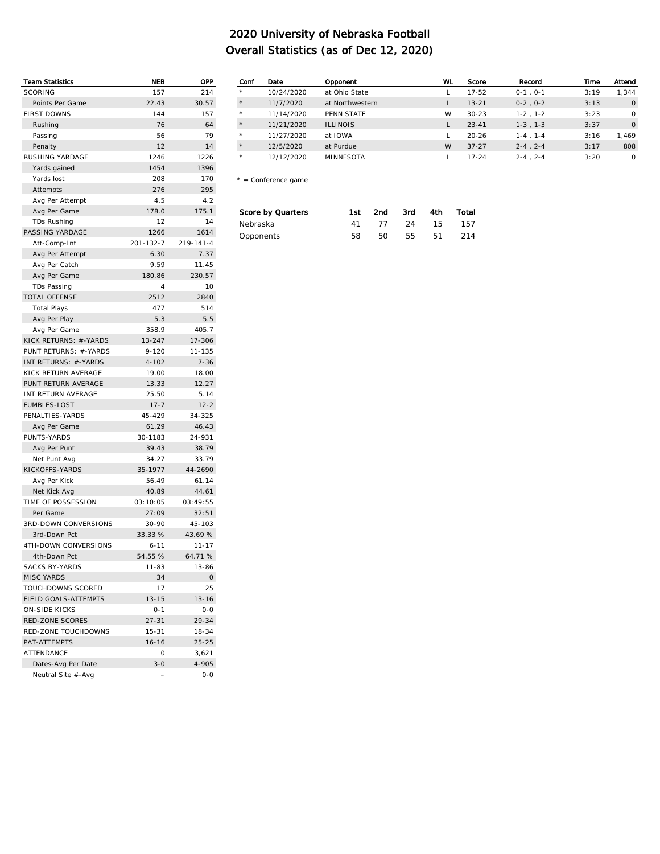| <b>Team Statistics</b> | NEB                      | OPP        |
|------------------------|--------------------------|------------|
| <b>SCORING</b>         | 157                      | 214        |
| Points Per Game        | 22.43                    | 30.57      |
| <b>FIRST DOWNS</b>     | 144                      | 157        |
| Rushing                | 76                       | 64         |
| Passing                | 56                       | 79         |
| Penalty                | 12                       | 14         |
| RUSHING YARDAGE        | 1246                     | 1226       |
| Yards gained           | 1454                     | 1396       |
| Yards lost             | 208                      | 170        |
| Attempts               | 276                      | 295        |
| Avg Per Attempt        | 4.5                      | 4.2        |
| Avg Per Game           | 178.0                    | 175.1      |
| TDs Rushing            | 12                       | 14         |
| PASSING YARDAGE        | 1266                     | 1614       |
| Att-Comp-Int           | 201-132-7                | 219-141-4  |
| Avg Per Attempt        | 6.30                     | 7.37       |
| Avg Per Catch          | 9.59                     | 11.45      |
| Avg Per Game           | 180.86                   | 230.57     |
| <b>TDs Passing</b>     | 4                        | 10         |
| <b>TOTAL OFFENSE</b>   | 2512                     | 2840       |
| <b>Total Plays</b>     | 477                      | 514        |
| Avg Per Play           | 5.3                      | 5.5        |
| Avg Per Game           | 358.9                    | 405.7      |
| KICK RETURNS: #-YARDS  | 13-247                   | 17-306     |
| PUNT RETURNS: #-YARDS  | $9 - 120$                | 11-135     |
| INT RETURNS: #-YARDS   | $4 - 102$                | $7 - 36$   |
| KICK RETURN AVERAGE    | 19.00                    | 18.00      |
| PUNT RETURN AVERAGE    | 13.33                    | 12.27      |
| INT RETURN AVERAGE     | 25.50                    | 5.14       |
| <b>FUMBLES-LOST</b>    | $17 - 7$                 | $12 - 2$   |
| PENALTIES-YARDS        | 45-429                   | 34-325     |
| Avg Per Game           | 61.29                    | 46.43      |
| PUNTS-YARDS            | 30-1183                  | 24-931     |
| Avg Per Punt           | 39.43                    | 38.79      |
| Net Punt Avg           | 34.27                    | 33.79      |
| KICKOFFS-YARDS         | 35-1977                  | 44-2690    |
| Avg Per Kick           | 56.49                    | 61.14      |
| Net Kick Avg           | 40.89                    | 44.61      |
| TIME OF POSSESSION     | 03:10:05                 | 03:49:55   |
| Per Game               | 27:09                    | 32:51      |
| 3RD-DOWN CONVERSIONS   | $30 - 90$                | $45 - 103$ |
| 3rd-Down Pct           | 33.33 %                  | 43.69 %    |
| 4TH-DOWN CONVERSIONS   | $6 - 11$                 | $11 - 17$  |
| 4th-Down Pct           | 54.55 %                  | 64.71 %    |
| <b>SACKS BY-YARDS</b>  | 11-83                    | 13-86      |
| <b>MISC YARDS</b>      | 34                       | 0          |
| TOUCHDOWNS SCORED      | 17                       | 25         |
| FIELD GOALS-ATTEMPTS   | 13-15                    | $13 - 16$  |
| <b>ON-SIDE KICKS</b>   | $0 - 1$                  | $0-0$      |
| RED-ZONE SCORES        | $27 - 31$                | 29-34      |
| RED-ZONE TOUCHDOWNS    | $15 - 31$                | $18 - 34$  |
| PAT-ATTEMPTS           | $16 - 16$                | $25 - 25$  |
| <b>ATTENDANCE</b>      | 0                        | 3,621      |
| Dates-Avg Per Date     | $3 - 0$                  | 4-905      |
| Neutral Site #-Avg     | $\overline{\phantom{0}}$ | $0 - 0$    |
|                        |                          |            |

| Conf    | Date       | Opponent         | WL | Score     | Record            | Time | Attend   |
|---------|------------|------------------|----|-----------|-------------------|------|----------|
| $\star$ | 10/24/2020 | at Ohio State    |    | $17 - 52$ | $0-1$ , $0-1$     | 3:19 | 1,344    |
| $\star$ | 11/7/2020  | at Northwestern  |    | $13 - 21$ | $0-2$ , $0-2$     | 3:13 | $\circ$  |
| $\star$ | 11/14/2020 | PFNN STATF       | W  | $30 - 23$ | $1-2$ , $1-2$     | 3:23 | $\Omega$ |
| $\star$ | 11/21/2020 | <b>ILLINOIS</b>  |    | $23 - 41$ | $1-3$ , $1-3$     | 3:37 | $\circ$  |
| $\star$ | 11/27/2020 | at IOWA          |    | $20 - 26$ | $1-4$ , $1-4$     | 3:16 | 1.469    |
| $\star$ | 12/5/2020  | at Purdue        | W  | $37 - 27$ | $2 - 4$ . $2 - 4$ | 3:17 | 808      |
| $\star$ | 12/12/2020 | <b>MINNESOTA</b> |    | $17 - 24$ | $2 - 4$ , $2 - 4$ | 3:20 | $\Omega$ |

\* = Conference game

| Score by Quarters | 1st. | 2nd | 3rd  | 4th - | Total |
|-------------------|------|-----|------|-------|-------|
| Nebraska          | 41   | -77 | - 24 | 15.   | 157   |
| Opponents         | 58.  | 50. | 55   | -51   | 214   |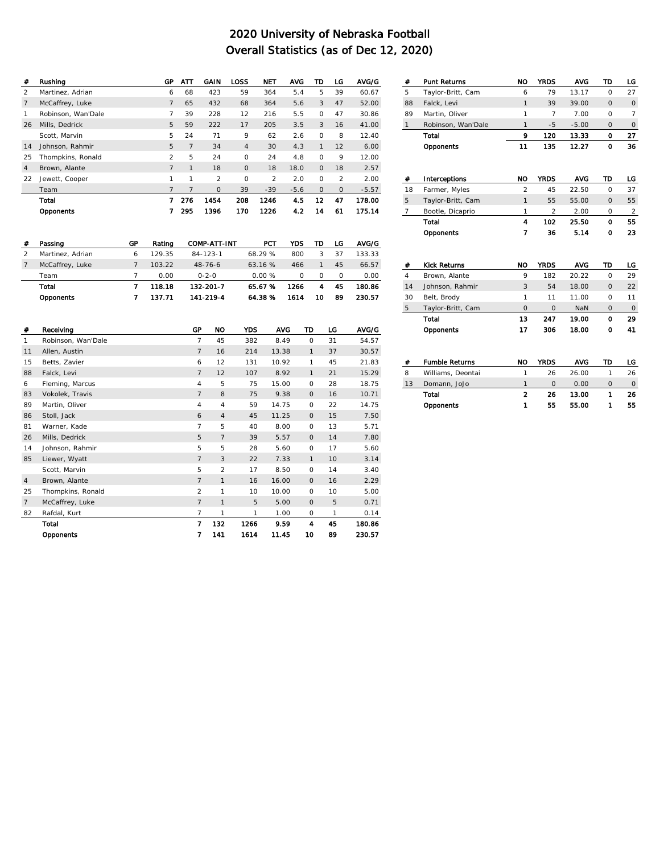| #              | Rushina            | GP             | АТТ            | GAIN           | LOSS           | <b>NET</b>    | <b>AVG</b> | TD       | LG            | AVG/G   |
|----------------|--------------------|----------------|----------------|----------------|----------------|---------------|------------|----------|---------------|---------|
| $\mathfrak{D}$ | Martinez, Adrian   | 6              | 68             | 423            | 59             | 364           | 5.4        | 5        | 39            | 60.67   |
| $\overline{7}$ | McCaffrey, Luke    | $\overline{7}$ | 65             | 432            | 68             | 364           | 5.6        | 3        | 47            | 52.00   |
| 1              | Robinson, Wan'Dale | 7              | 39             | 228            | 12             | 216           | 5.5        | $\circ$  | 47            | 30.86   |
| 26             | Mills, Dedrick     | 5              | 59             | 222            | 17             | 205           | 3.5        | 3        | 16            | 41.00   |
|                | Scott, Marvin      | 5              | 24             | 71             | 9              | 62            | 2.6        | $\circ$  | 8             | 12.40   |
| 14             | Johnson, Rahmir    | 5              | $\overline{7}$ | 34             | $\overline{4}$ | 30            | 4.3        | 1        | 12            | 6.00    |
| 25             | Thompkins, Ronald  | $\mathcal{P}$  | 5              | 24             | $\circ$        | 24            | 4.8        | $\circ$  | 9             | 12.00   |
| 4              | Brown, Alante      | $\overline{7}$ | 1              | 18             | $\mathbf{O}$   | 18            | 18.0       | $\circ$  | 18            | 2.57    |
| 22             | Jewett, Cooper     | 1              | 1              | $\mathfrak{D}$ | $\Omega$       | $\mathcal{P}$ | 2.0        | $\Omega$ | $\mathcal{P}$ | 2.00    |
|                | Team               | $\overline{7}$ | 7              | $\circ$        | 39             | $-39$         | $-5.6$     | $\Omega$ | $\circ$       | $-5.57$ |
|                | Total              | 7              | 276            | 1454           | 208            | 1246          | 4.5        | 12       | 47            | 178.00  |
|                | Opponents          |                | 295            | 1396           | 170            | 1226          | 4.2        | 14       | 61            | 175 14  |

| # | Passing          | GP | Rating | COMP-ATT-INT   | PCT     | YDS  | TD       | LG | AVG/G  |
|---|------------------|----|--------|----------------|---------|------|----------|----|--------|
|   | Martinez, Adrian | 6  | 129.35 | $84 - 123 - 1$ | 68.29 % | 800  | 3        | 37 | 133.33 |
|   | McCaffrey, Luke  |    | 103.22 | $48 - 76 - 6$  | 63.16%  | 466  |          | 45 | 66.57  |
|   | Team             |    | 0.00   | $0 - 2 - 0$    | 0.00%   | 0    | $\Omega$ | O  | 0.00   |
|   | Total            |    | 118.18 | 132-201-7      | 65.67%  | 1266 | 4        | 45 | 180.86 |
|   | Opponents        |    | 137.71 | 141-219-4      | 64.38%  | 1614 | 10       | 89 | 230.57 |

| #               | Receiving          | GP             | <b>NO</b>      | <b>YDS</b> | <b>AVG</b> | TD           | LG | AVG/G  |
|-----------------|--------------------|----------------|----------------|------------|------------|--------------|----|--------|
| 1               | Robinson, Wan'Dale | $\overline{7}$ | 45             | 382        | 8.49       | $\circ$      | 31 | 54.57  |
| 11              | Allen, Austin      | $\overline{7}$ | 16             | 214        | 13.38      | $\mathbf{1}$ | 37 | 30.57  |
| 15              | Betts, Zavier      | 6              | 12             | 131        | 10.92      | 1            | 45 | 21.83  |
| 88              | Falck, Levi        | $\overline{7}$ | 12             | 107        | 8.92       | $\mathbf{1}$ | 21 | 15.29  |
| 6               | Fleming, Marcus    | 4              | 5              | 75         | 15.00      | $\circ$      | 28 | 18.75  |
| 83              | Vokolek, Travis    | $\overline{7}$ | 8              | 75         | 9.38       | $\mathbf{0}$ | 16 | 10.71  |
| 89              | Martin, Oliver     | $\overline{4}$ | $\overline{4}$ | 59         | 14.75      | $\circ$      | 22 | 14.75  |
| 86              | Stoll, Jack        | 6              | $\overline{4}$ | 45         | 11.25      | $\mathbf{0}$ | 15 | 7.50   |
| 81              | Warner, Kade       | $\overline{7}$ | 5              | 40         | 8.00       | $\circ$      | 13 | 5.71   |
| 26              | Mills, Dedrick     | 5              | $\overline{7}$ | 39         | 5.57       | $\mathbf{0}$ | 14 | 7.80   |
| 14              | Johnson, Rahmir    | 5              | 5              | 28         | 5.60       | $\circ$      | 17 | 5.60   |
| 85              | Liewer, Wyatt      | $\overline{7}$ | 3              | 22         | 7.33       | $\mathbf{1}$ | 10 | 3.14   |
|                 | Scott, Marvin      | 5              | $\overline{2}$ | 17         | 8.50       | $\circ$      | 14 | 3.40   |
| $\overline{4}$  | Brown, Alante      | $\overline{7}$ | $\mathbf{1}$   | 16         | 16.00      | $\circ$      | 16 | 2.29   |
| 25              | Thompkins, Ronald  | $\overline{2}$ | 1              | 10         | 10.00      | $\circ$      | 10 | 5.00   |
| $7\overline{ }$ | McCaffrey, Luke    | $\overline{7}$ | $\mathbf{1}$   | 5          | 5.00       | $\mathbf{0}$ | 5  | 0.71   |
| 82              | Rafdal, Kurt       | $\overline{7}$ | 1              | 1          | 1.00       | $\circ$      | 1  | 0.14   |
|                 | Total              | 7              | 132            | 1266       | 9.59       | 4            | 45 | 180.86 |
|                 | Opponents          | 7              | 141            | 1614       | 11.45      | 10           | 89 | 230.57 |

| #              | Punt Returns          | NO             | <b>YRDS</b>    | <b>AVG</b> | TD           | LG             |
|----------------|-----------------------|----------------|----------------|------------|--------------|----------------|
| 5              | Taylor-Britt, Cam     | 6              | 79             | 13.17      | $\Omega$     | 27             |
| 88             | Falck, Levi           | 1              | 39             | 39.00      | $\mathbf{O}$ | $\circ$        |
| 89             | Martin, Oliver        | 1              | 7              | 7.00       | 0            | 7              |
| $\mathbf{1}$   | Robinson, Wan'Dale    | 1              | $-5$           | $-5.00$    | $\mathbf{O}$ | 0              |
|                | Total                 | 9              | 120            | 13.33      | 0            | 27             |
|                | Opponents             | 11             | 135            | 12.27      | $\mathbf o$  | 36             |
|                |                       |                |                |            |              |                |
| #              | Interceptions         | <b>NO</b>      | <b>YRDS</b>    | <b>AVG</b> | TD           | LG             |
| 18             | Farmer, Myles         | $\overline{2}$ | 45             | 22.50      | $\Omega$     | 37             |
| 5              | Taylor-Britt, Cam     | 1              | 55             | 55.00      | $\mathbf{O}$ | 55             |
| 7              | Bootle, Dicaprio      | 1              | $\overline{2}$ | 2.00       | 0            | $\overline{2}$ |
|                | Total                 | 4              | 102            | 25.50      | $\Omega$     | 55             |
|                | Opponents             | 7              | 36             | 5.14       | o            | 23             |
|                |                       |                |                |            |              |                |
|                |                       |                |                |            |              |                |
|                |                       |                |                |            |              |                |
| #              | <b>Kick Returns</b>   | <b>NO</b>      | <b>YRDS</b>    | <b>AVG</b> | TD           | LG             |
| $\overline{4}$ | Brown, Alante         | 9              | 182            | 20.22      | $\Omega$     | 29             |
| 14             | Johnson, Rahmir       | 3              | 54             | 18.00      | $\mathbf 0$  | 22             |
| 30             | Belt, Brody           | 1              | 11             | 11.00      | $\Omega$     | 11             |
| 5              | Taylor-Britt, Cam     | $\Omega$       | 0              | NaN        | $\mathbf 0$  | 0              |
|                | Total                 | 13             | 247            | 19.00      | $\Omega$     | 29             |
|                | Opponents             | 17             | 306            | 18.00      | o            | 41             |
|                |                       |                |                |            |              |                |
|                |                       |                |                |            |              |                |
| #              | <b>Fumble Returns</b> | NO             | <b>YRDS</b>    | <b>AVG</b> | TD           | LG             |
| 8              | Williams, Deontai     | 1              | 26             | 26.00      | 1            | 26             |
| 13             | Domann, JoJo          | $\mathbf{1}$   | $\Omega$       | 0.00       | 0            | $\circ$        |
|                | Total                 | $\overline{2}$ | 26             | 13.00      | 1            | 26             |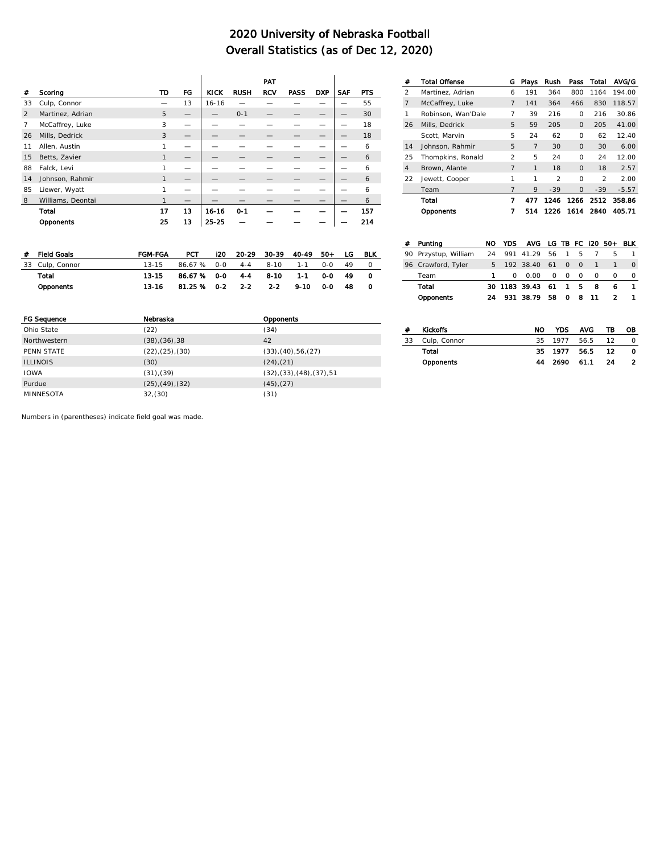Ï

|                |                   |              |    |             |             | PAT        |             |            |            |            |
|----------------|-------------------|--------------|----|-------------|-------------|------------|-------------|------------|------------|------------|
| #              | Scoring           | TD           | ГG | <b>KICK</b> | <b>RUSH</b> | <b>RCV</b> | <b>PASS</b> | <b>DXP</b> | <b>SAF</b> | <b>PTS</b> |
| 33             | Culp, Connor      |              | 13 | $16 - 16$   |             |            |             |            |            | 55         |
| $\mathfrak{D}$ | Martinez, Adrian  | 5            | –  |             | $O - 1$     |            |             |            |            | 30         |
| $\overline{7}$ | McCaffrey, Luke   | 3            | -  |             |             |            |             |            |            | 18         |
| 26             | Mills, Dedrick    | 3            | –  |             |             |            |             |            |            | 18         |
| 11             | Allen, Austin     | 1            | -  |             |             |            |             |            |            | 6          |
| 15             | Betts, Zavier     | 1            |    |             |             |            |             |            |            | 6          |
| 88             | Falck, Levi       | $\mathbf{1}$ | -  |             |             |            |             |            |            | 6          |
| 14             | Johnson, Rahmir   | $\mathbf{1}$ | -  |             |             |            |             |            |            | 6          |
| 85             | Liewer, Wyatt     | 1            |    |             |             |            |             |            |            | 6          |
| 8              | Williams, Deontai | $\mathbf{1}$ | -  |             |             |            |             |            |            | 6          |
|                | Total             | 17           | 13 | $16 - 16$   | $0 - 1$     |            |             |            |            | 157        |
|                | Opponents         | 25           | 13 | $2b - 25$   |             |            |             |            |            | 214        |

| # | Field Goals     | <b>FGM-FGA</b> | PCT             | 120 | 20-29   | 30-39 40-49 |         | - 50 | LG. | BLK |
|---|-----------------|----------------|-----------------|-----|---------|-------------|---------|------|-----|-----|
|   | 33 Culp, Connor | $13 - 15$      | 86.67 % 0-0     |     |         | 4-4 8-10    | $1 - 1$ | ი-ი  | 49  |     |
|   | Total           | 13.15          | 86.67% 0-0      |     | $4 - 4$ | 8-10        | $1 - 1$ | റ റ  | 49  |     |
|   | Opponents       | 13-16          | 81.25 % 0-2 2-2 |     |         | $2 - 2$     | 9-10    | 0-O  | 48  |     |

| <b>FG Sequence</b> | Nebraska                 | Opponents                  |
|--------------------|--------------------------|----------------------------|
| Ohio State         | (22)                     | (34)                       |
| Northwestern       | $(38)$ , $(36)$ , $38$   | 42                         |
| PENN STATE         | (22), (25), (30)         | (33), (40), 56, (27)       |
| <b>ILLINOIS</b>    | (30)                     | $(24)$ , $(21)$            |
| <b>IOWA</b>        | (31),(39)                | (32), (33), (48), (37), 51 |
| Purdue             | $(25)$ , $(49)$ , $(32)$ | $(45)$ , $(27)$            |
| <b>MINNESOTA</b>   | 32,(30)                  | (31)                       |

| #  | <b>Total Offense</b> | G              | Plays          | Rush           | Pass         | Total          | AVG/G   |
|----|----------------------|----------------|----------------|----------------|--------------|----------------|---------|
| 2  | Martinez, Adrian     | 6              | 191            | 364            | 800          | 1164           | 194.00  |
| 7  | McCaffrey, Luke      | $\overline{7}$ | 141            | 364            | 466          | 830            | 118.57  |
| 1  | Robinson, Wan'Dale   | 7              | 39             | 216            | 0            | 216            | 30.86   |
| 26 | Mills, Dedrick       | 5              | 59             | 205            | $\mathbf{O}$ | 205            | 41.00   |
|    | Scott, Marvin        | 5              | 24             | 62             | 0            | 62             | 12.40   |
| 14 | Johnson, Rahmir      | 5              | $\overline{7}$ | 30             | $\Omega$     | 30             | 6.00    |
| 25 | Thompkins, Ronald    | 2              | 5              | 24             | $\Omega$     | 24             | 12.00   |
| 4  | Brown, Alante        | $\overline{7}$ | 1              | 18             | $\Omega$     | 18             | 2.57    |
| 22 | Jewett, Cooper       | 1              | 1              | $\mathfrak{D}$ | $\Omega$     | $\mathfrak{D}$ | 2.00    |
|    | Team                 | $\overline{7}$ | 9              | $-39$          | $\Omega$     | $-39$          | $-5.57$ |
|    | Total                | 7              | 477            | 1246           | 1266         | 2512           | 358.86  |
|    | Opponents            | 7              | 514            | 1226           | 1614         | 2840           | 405.71  |

| Puntina              | NO | YDS.         | AVG LG TB FC I20 50+ BLK |    |                |              |          |   |              |
|----------------------|----|--------------|--------------------------|----|----------------|--------------|----------|---|--------------|
| 90 Przystup, William | 24 |              | 991 41.29                |    | 56 1           | 5            |          | 5 |              |
| 96 Crawford, Tyler   |    |              | 5 192 38.40 61 0         |    |                | $\Omega$     |          |   | <sup>o</sup> |
| Team                 |    | <sup>n</sup> | 0.00                     |    | 0 <sub>0</sub> | <sup>o</sup> | $\Omega$ | Ω | $\Omega$     |
| Total                |    |              | 30 1183 39.43 61         |    | $\mathbf{1}$   | -5           | 8        | ь |              |
| Opponents            | 24 |              | 931 38.79                | 58 |                | 08           | 11       |   |              |

|    | <b>Kickoffs</b> | NO. |                 | YDS AVG | ΤВ  | OВ |
|----|-----------------|-----|-----------------|---------|-----|----|
| 33 | Culp, Connor    |     | 35 1977 56.5 12 |         |     | n. |
|    | Total           |     | 35 1977 56.5    |         | -12 |    |
|    | Opponents       |     | 44 2690 61.1 24 |         |     |    |
|    |                 |     |                 |         |     |    |

Numbers in (parentheses) indicate field goal was made.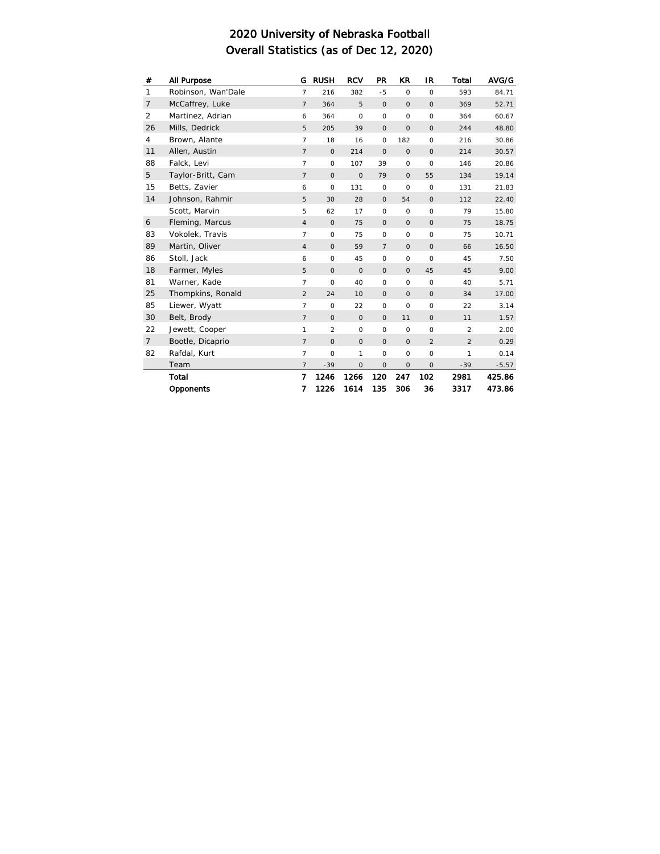| #              | All Purpose        | G              | <b>RUSH</b> | <b>RCV</b>   | <b>PR</b>      | <b>KR</b>   | IR             | Total          | AVG/G   |
|----------------|--------------------|----------------|-------------|--------------|----------------|-------------|----------------|----------------|---------|
| $\mathbf{1}$   | Robinson, Wan'Dale | $\overline{7}$ | 216         | 382          | $-5$           | $\circ$     | $\circ$        | 593            | 84.71   |
| $\overline{7}$ | McCaffrey, Luke    | $\overline{7}$ | 364         | 5            | $\mathbf 0$    | $\circ$     | $\circ$        | 369            | 52.71   |
| $\overline{2}$ | Martinez, Adrian   | 6              | 364         | $\circ$      | $\circ$        | $\mathsf O$ | $\circ$        | 364            | 60.67   |
| 26             | Mills, Dedrick     | 5              | 205         | 39           | $\circ$        | $\circ$     | $\circ$        | 244            | 48.80   |
| 4              | Brown, Alante      | $\overline{7}$ | 18          | 16           | $\mathsf O$    | 182         | $\circ$        | 216            | 30.86   |
| 11             | Allen, Austin      | $\overline{7}$ | $\circ$     | 214          | $\circ$        | $\circ$     | $\circ$        | 214            | 30.57   |
| 88             | Falck, Levi        | $\overline{7}$ | $\circ$     | 107          | 39             | $\circ$     | $\circ$        | 146            | 20.86   |
| 5              | Taylor-Britt, Cam  | $\overline{7}$ | $\circ$     | $\mathbf 0$  | 79             | $\circ$     | 55             | 134            | 19.14   |
| 15             | Betts, Zavier      | 6              | $\circ$     | 131          | $\circ$        | $\circ$     | $\circ$        | 131            | 21.83   |
| 14             | Johnson, Rahmir    | 5              | 30          | 28           | $\mathsf O$    | 54          | $\circ$        | 112            | 22.40   |
|                | Scott, Marvin      | 5              | 62          | 17           | $\circ$        | $\circ$     | $\circ$        | 79             | 15.80   |
| 6              | Fleming, Marcus    | $\overline{4}$ | $\circ$     | 75           | $\circ$        | $\circ$     | $\circ$        | 75             | 18.75   |
| 83             | Vokolek, Travis    | $\overline{7}$ | $\circ$     | 75           | $\circ$        | $\circ$     | $\circ$        | 75             | 10.71   |
| 89             | Martin, Oliver     | $\overline{4}$ | $\circ$     | 59           | $\overline{7}$ | $\circ$     | $\circ$        | 66             | 16.50   |
| 86             | Stoll, Jack        | 6              | $\circ$     | 45           | $\mathsf O$    | $\circ$     | $\circ$        | 45             | 7.50    |
| 18             | Farmer, Myles      | 5              | $\circ$     | $\circ$      | $\circ$        | $\circ$     | 45             | 45             | 9.00    |
| 81             | Warner, Kade       | $\overline{7}$ | $\circ$     | 40           | $\mathsf O$    | $\mathsf O$ | $\circ$        | 40             | 5.71    |
| 25             | Thompkins, Ronald  | $\overline{2}$ | 24          | 10           | $\mathsf O$    | $\circ$     | $\circ$        | 34             | 17.00   |
| 85             | Liewer, Wyatt      | $\overline{7}$ | $\circ$     | 22           | $\circ$        | $\circ$     | $\circ$        | 22             | 3.14    |
| 30             | Belt, Brody        | $\overline{7}$ | $\circ$     | $\circ$      | $\mathsf O$    | 11          | $\circ$        | 11             | 1.57    |
| 22             | Jewett, Cooper     | 1              | 2           | $\circ$      | $\mathsf O$    | $\circ$     | $\circ$        | $\overline{2}$ | 2.00    |
| $\overline{7}$ | Bootle, Dicaprio   | $\overline{7}$ | $\circ$     | $\circ$      | $\circ$        | $\circ$     | $\overline{2}$ | 2              | 0.29    |
| 82             | Rafdal, Kurt       | $\overline{7}$ | $\circ$     | $\mathbf{1}$ | $\mathsf O$    | $\circ$     | $\circ$        | 1              | 0.14    |
|                | Team               | $\overline{7}$ | $-39$       | $\circ$      | $\mathbf 0$    | $\circ$     | $\circ$        | $-39$          | $-5.57$ |
|                | Total              | 7              | 1246        | 1266         | 120            | 247         | 102            | 2981           | 425.86  |
|                | Opponents          | 7              | 1226        | 1614         | 135            | 306         | 36             | 3317           | 473.86  |